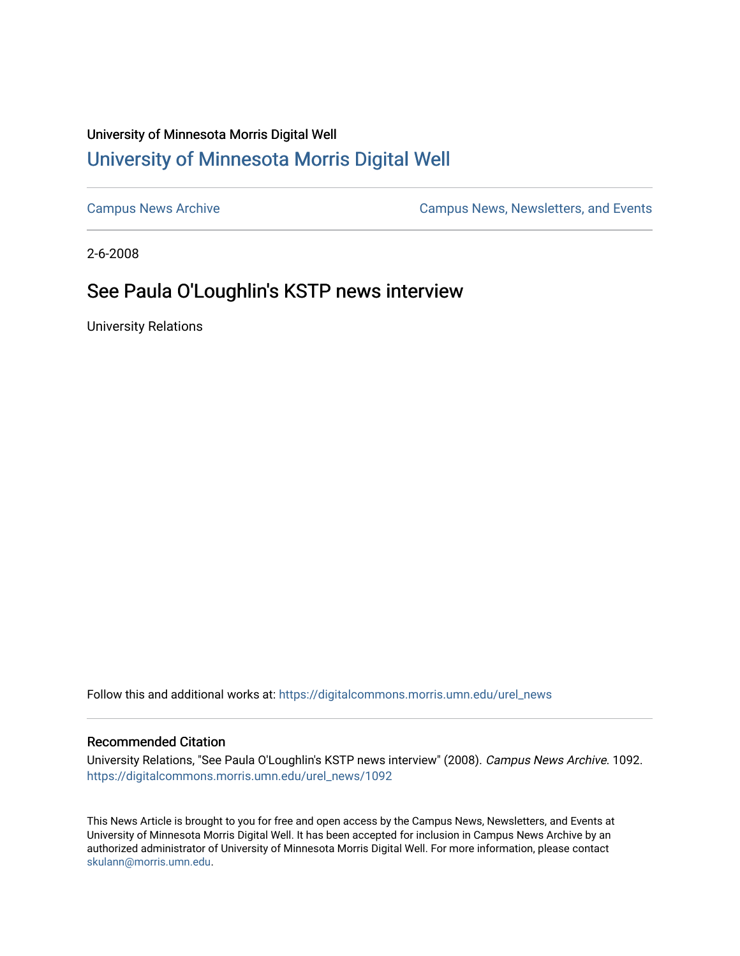## University of Minnesota Morris Digital Well [University of Minnesota Morris Digital Well](https://digitalcommons.morris.umn.edu/)

[Campus News Archive](https://digitalcommons.morris.umn.edu/urel_news) [Campus News, Newsletters, and Events](https://digitalcommons.morris.umn.edu/externalrel) 

2-6-2008

## See Paula O'Loughlin's KSTP news interview

University Relations

Follow this and additional works at: [https://digitalcommons.morris.umn.edu/urel\\_news](https://digitalcommons.morris.umn.edu/urel_news?utm_source=digitalcommons.morris.umn.edu%2Furel_news%2F1092&utm_medium=PDF&utm_campaign=PDFCoverPages) 

## Recommended Citation

University Relations, "See Paula O'Loughlin's KSTP news interview" (2008). Campus News Archive. 1092. [https://digitalcommons.morris.umn.edu/urel\\_news/1092](https://digitalcommons.morris.umn.edu/urel_news/1092?utm_source=digitalcommons.morris.umn.edu%2Furel_news%2F1092&utm_medium=PDF&utm_campaign=PDFCoverPages) 

This News Article is brought to you for free and open access by the Campus News, Newsletters, and Events at University of Minnesota Morris Digital Well. It has been accepted for inclusion in Campus News Archive by an authorized administrator of University of Minnesota Morris Digital Well. For more information, please contact [skulann@morris.umn.edu.](mailto:skulann@morris.umn.edu)